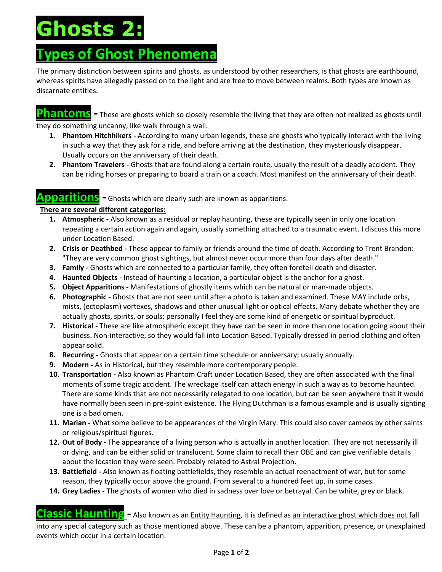# **Ghosts 2:**

### **Types of Ghost Phenomena**

The primary distinction between spirits and ghosts, as understood by other researchers, is that ghosts are earthbound, whereas spirits have allegedly passed on to the light and are free to move between realms. Both types are known as discarnate entities.

**Phantoms -** These are ghosts which so closely resemble the living that they are often not realized as ghosts until they do something uncanny, like walk through a wall.

- **1. Phantom Hitchhikers -** According to many urban legends, these are ghosts who typically interact with the living in such a way that they ask for a ride, and before arriving at the destination, they mysteriously disappear. Usually occurs on the anniversary of their death.
- **2. Phantom Travelers -** Ghosts that are found along a certain route, usually the result of a deadly accident. They can be riding horses or preparing to board a train or a coach. Most manifest on the anniversary of their death.

#### **Apparitions -** Ghosts which are clearly such are known as apparitions.

#### **There are several different categories:**

- **1. Atmospheric -** Also known as a residual or replay haunting, these are typically seen in only one location repeating a certain action again and again, usually something attached to a traumatic event. I discuss this more under Location Based.
- **2. Crisis or Deathbed -** These appear to family or friends around the time of death. According to Trent Brandon: "They are very common ghost sightings, but almost never occur more than four days after death."
- **3. Family -** Ghosts which are connected to a particular family, they often foretell death and disaster.
- **4. Haunted Objects -** Instead of haunting a location, a particular object is the anchor for a ghost.
- **5. Object Apparitions -** Manifestations of ghostly items which can be natural or man-made objects.
- **6. Photographic -** Ghosts that are not seen until after a photo is taken and examined. These MAY include orbs, mists, (ectoplasm) vortexes, shadows and other unusual light or optical effects. Many debate whether they are actually ghosts, spirits, or souls; personally I feel they are some kind of energetic or spiritual byproduct.
- **7. Historical -** These are like atmospheric except they have can be seen in more than one location going about their business. Non-interactive, so they would fall into Location Based. Typically dressed in period clothing and often appear solid.
- **8. Recurring -** Ghosts that appear on a certain time schedule or anniversary; usually annually.
- **9. Modern -** As in Historical, but they resemble more contemporary people.
- **10. Transportation -** Also known as Phantom Craft under Location Based, they are often associated with the final moments of some tragic accident. The wreckage itself can attach energy in such a way as to become haunted. There are some kinds that are not necessarily relegated to one location, but can be seen anywhere that it would have normally been seen in pre-spirit existence. The Flying Dutchman is a famous example and is usually sighting one is a bad omen.
- **11. Marian -** What some believe to be appearances of the Virgin Mary. This could also cover cameos by other saints or religious/spiritual figures.
- **12. Out of Body -** The appearance of a living person who is actually in another location. They are not necessarily ill or dying, and can be either solid or translucent. Some claim to recall their OBE and can give verifiable details about the location they were seen. Probably related to Astral Projection.
- **13. Battlefield -** Also known as floating battlefields, they resemble an actual reenactment of war, but for some reason, they typically occur above the ground. From several to a hundred feet up, in some cases.
- **14. Grey Ladies -** The ghosts of women who died in sadness over love or betrayal. Can be white, grey or black.

**Classic Haunting -** Also known as an *Entity Haunting*, it is defined as <u>an interactive ghost which does not fall</u> into any special category such as those mentioned above. These can be a phantom, apparition, presence, or unexplained events which occur in a certain location.